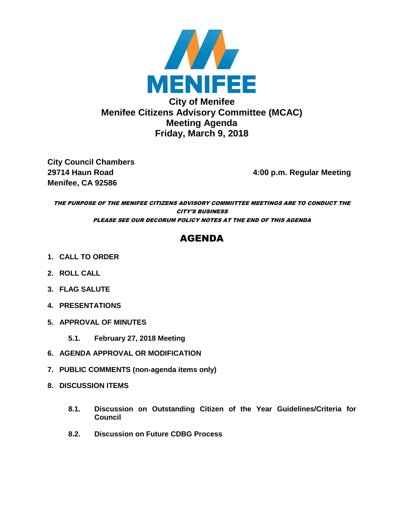

**City Council Chambers Menifee, CA 92586** 

**29714 Haun Road 4:00 p.m. Regular Meeting**

THE PURPOSE OF THE MENIFEE CITIZENS ADVISORY COMMIITTEE MEETINGS ARE TO CONDUCT THE CITY'S BUSINESS PLEASE SEE OUR DECORUM POLICY NOTES AT THE END OF THIS AGENDA

# AGENDA

- **1. CALL TO ORDER**
- **2. ROLL CALL**
- **3. FLAG SALUTE**
- **4. PRESENTATIONS**
- **5. APPROVAL OF MINUTES**
	- **5.1. February 27, 2018 Meeting**
- **6. AGENDA APPROVAL OR MODIFICATION**
- **7. PUBLIC COMMENTS (non-agenda items only)**
- **8. DISCUSSION ITEMS**
	- **8.1. Discussion on Outstanding Citizen of the Year Guidelines/Criteria for Council**
	- **8.2. Discussion on Future CDBG Process**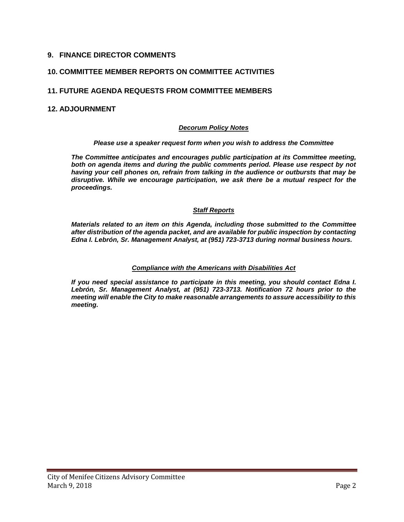### **9. FINANCE DIRECTOR COMMENTS**

#### **10. COMMITTEE MEMBER REPORTS ON COMMITTEE ACTIVITIES**

#### **11. FUTURE AGENDA REQUESTS FROM COMMITTEE MEMBERS**

#### **12. ADJOURNMENT**

#### *Decorum Policy Notes*

#### *Please use a speaker request form when you wish to address the Committee*

*The Committee anticipates and encourages public participation at its Committee meeting, both on agenda items and during the public comments period. Please use respect by not having your cell phones on, refrain from talking in the audience or outbursts that may be disruptive. While we encourage participation, we ask there be a mutual respect for the proceedings.*

#### *Staff Reports*

*Materials related to an item on this Agenda, including those submitted to the Committee after distribution of the agenda packet, and are available for public inspection by contacting Edna I. Lebrón, Sr. Management Analyst, at (951) 723-3713 during normal business hours.* 

#### *Compliance with the Americans with Disabilities Act*

*If you need special assistance to participate in this meeting, you should contact Edna I. Lebrón, Sr. Management Analyst, at (951) 723-3713. Notification 72 hours prior to the meeting will enable the City to make reasonable arrangements to assure accessibility to this meeting.*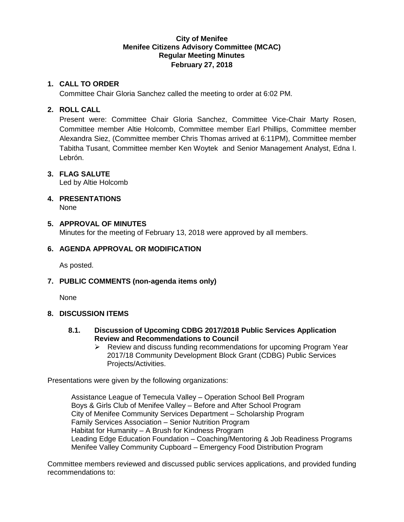### **City of Menifee Menifee Citizens Advisory Committee (MCAC) Regular Meeting Minutes February 27, 2018**

### **1. CALL TO ORDER**

Committee Chair Gloria Sanchez called the meeting to order at 6:02 PM.

### **2. ROLL CALL**

Present were: Committee Chair Gloria Sanchez, Committee Vice-Chair Marty Rosen, Committee member Altie Holcomb, Committee member Earl Phillips, Committee member Alexandra Siez, (Committee member Chris Thomas arrived at 6:11PM), Committee member Tabitha Tusant, Committee member Ken Woytek and Senior Management Analyst, Edna I. Lebrón.

### **3. FLAG SALUTE**

Led by Altie Holcomb

# **4. PRESENTATIONS**

None

### **5. APPROVAL OF MINUTES**

Minutes for the meeting of February 13, 2018 were approved by all members.

### **6. AGENDA APPROVAL OR MODIFICATION**

As posted.

### **7. PUBLIC COMMENTS (non-agenda items only)**

None

### **8. DISCUSSION ITEMS**

- **8.1. Discussion of Upcoming CDBG 2017/2018 Public Services Application Review and Recommendations to Council**
	- $\triangleright$  Review and discuss funding recommendations for upcoming Program Year 2017/18 Community Development Block Grant (CDBG) Public Services Projects/Activities.

Presentations were given by the following organizations:

Assistance League of Temecula Valley – Operation School Bell Program Boys & Girls Club of Menifee Valley – Before and After School Program City of Menifee Community Services Department – Scholarship Program Family Services Association – Senior Nutrition Program Habitat for Humanity – A Brush for Kindness Program Leading Edge Education Foundation – Coaching/Mentoring & Job Readiness Programs Menifee Valley Community Cupboard – Emergency Food Distribution Program

Committee members reviewed and discussed public services applications, and provided funding recommendations to: